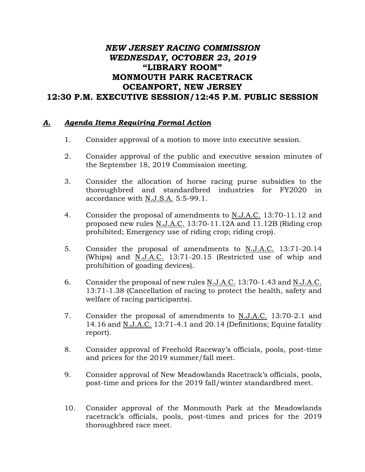## *NEW JERSEY RACING COMMISSION WEDNESDAY, OCTOBER 23, 2019* **"LIBRARY ROOM" MONMOUTH PARK RACETRACK OCEANPORT, NEW JERSEY 12:30 P.M. EXECUTIVE SESSION/12:45 P.M. PUBLIC SESSION**

## *A. Agenda Items Requiring Formal Action*

- 1. Consider approval of a motion to move into executive session.
- 2. Consider approval of the public and executive session minutes of the September 18, 2019 Commission meeting.
- 3. Consider the allocation of horse racing purse subsidies to the thoroughbred and standardbred industries for FY2020 in accordance with N.J.S.A. 5:5-99.1.
- 4. Consider the proposal of amendments to N.J.A.C. 13:70-11.12 and proposed new rules N.J.A.C. 13:70-11.12A and 11.12B (Riding crop prohibited; Emergency use of riding crop; riding crop).
- 5. Consider the proposal of amendments to N.J.A.C. 13:71-20.14 (Whips) and N.J.A.C. 13:71-20.15 (Restricted use of whip and prohibition of goading devices).
- 6. Consider the proposal of new rules N.J.A.C. 13:70-1.43 and N.J.A.C. 13:71-1.38 (Cancellation of racing to protect the health, safety and welfare of racing participants).
- 7. Consider the proposal of amendments to N.J.A.C. 13:70-2.1 and 14.16 and N.J.A.C. 13:71-4.1 and 20.14 (Definitions; Equine fatality report).
- 8. Consider approval of Freehold Raceway's officials, pools, post-time and prices for the 2019 summer/fall meet.
- 9. Consider approval of New Meadowlands Racetrack's officials, pools, post-time and prices for the 2019 fall/winter standardbred meet.
- 10. Consider approval of the Monmouth Park at the Meadowlands racetrack's officials, pools, post-times and prices for the 2019 thoroughbred race meet.